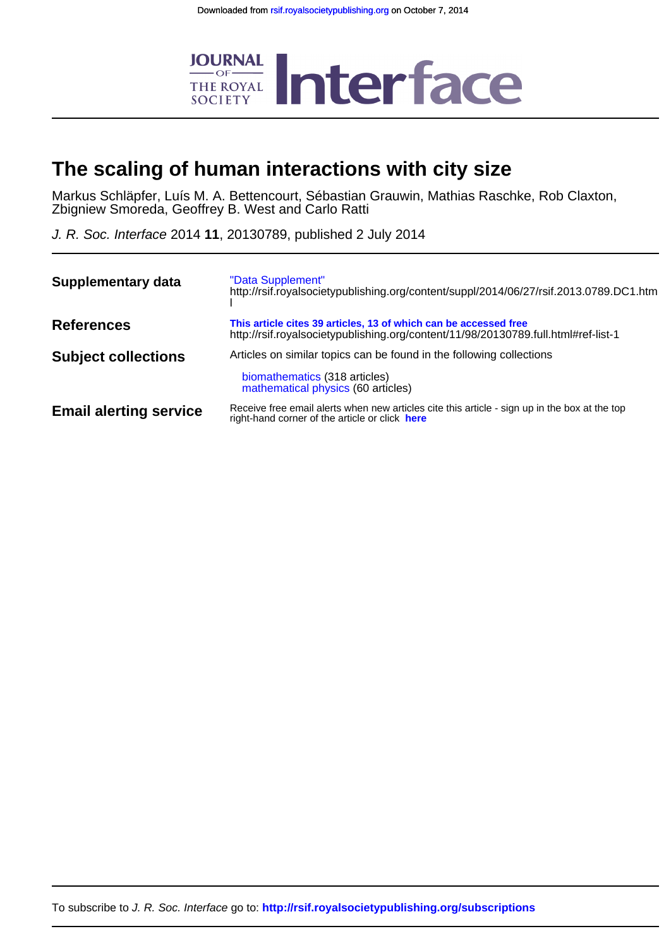

# **The scaling of human interactions with city size**

Zbigniew Smoreda, Geoffrey B. West and Carlo Ratti Markus Schläpfer, Luís M. A. Bettencourt, Sébastian Grauwin, Mathias Raschke, Rob Claxton,

J. R. Soc. Interface 2014 **11**, 20130789, published 2 July 2014

| Supplementary data            | "Data Supplement"<br>http://rsif.royalsocietypublishing.org/content/suppl/2014/06/27/rsif.2013.0789.DC1.htm                                            |  |  |  |  |
|-------------------------------|--------------------------------------------------------------------------------------------------------------------------------------------------------|--|--|--|--|
| <b>References</b>             | This article cites 39 articles, 13 of which can be accessed free<br>http://rsif.royalsocietypublishing.org/content/11/98/20130789.full.html#ref-list-1 |  |  |  |  |
| <b>Subject collections</b>    | Articles on similar topics can be found in the following collections<br>biomathematics (318 articles)<br>mathematical physics (60 articles)            |  |  |  |  |
| <b>Email alerting service</b> | Receive free email alerts when new articles cite this article - sign up in the box at the top<br>right-hand corner of the article or click here        |  |  |  |  |

To subscribe to J. R. Soc. Interface go to: **<http://rsif.royalsocietypublishing.org/subscriptions>**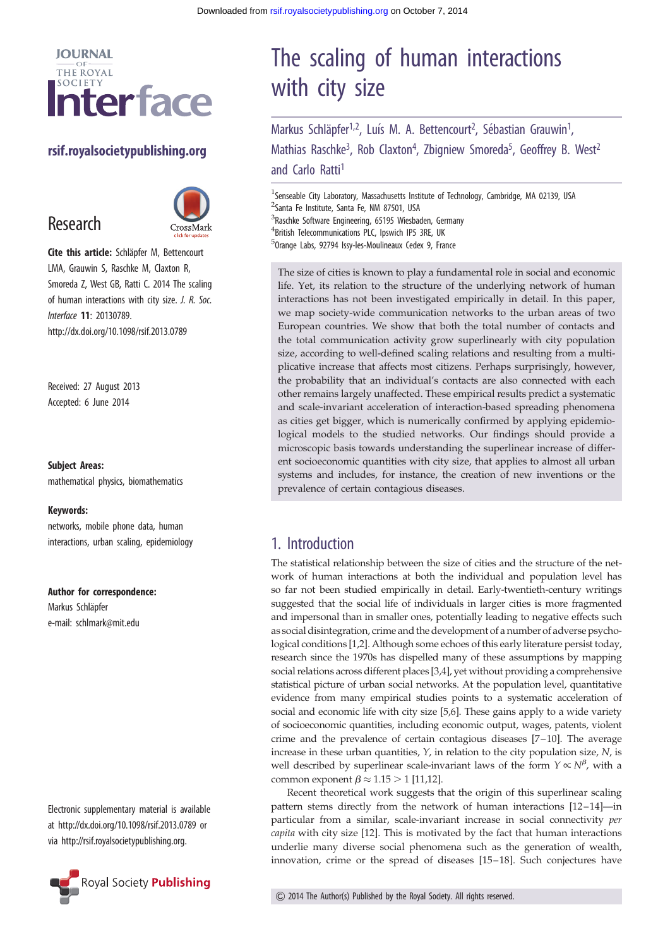

### rsif.royalsocietypublishing.org

# Research



Cite this article: Schläpfer M, Bettencourt LMA, Grauwin S, Raschke M, Claxton R, Smoreda Z, West GB, Ratti C. 2014 The scaling of human interactions with city size. J. R. Soc. Interface 11: 20130789. http://dx.doi.org/10.1098/rsif.2013.0789

Received: 27 August 2013 Accepted: 6 June 2014

#### Subject Areas:

mathematical physics, biomathematics

#### Keywords:

networks, mobile phone data, human interactions, urban scaling, epidemiology

Author for correspondence:

Markus Schläpfer e-mail: [schlmark@mit.edu](mailto:schlmark@mit.edu)

Electronic supplementary material is available at<http://dx.doi.org/10.1098/rsif.2013.0789> or via<http://rsif.royalsocietypublishing.org>.



# The scaling of human interactions with city size

Markus Schläpfer<sup>1,2</sup>, Luís M. A. Bettencourt<sup>2</sup>, Sébastian Grauwin<sup>1</sup> , Mathias Raschke<sup>3</sup>, Rob Claxton<sup>4</sup>, Zbigniew Smoreda<sup>5</sup>, Geoffrey B. West<sup>2</sup> and Carlo Ratti<sup>1</sup>

<sup>1</sup>Senseable City Laboratory, Massachusetts Institute of Technology, Cambridge, MA 02139, USA <sup>2</sup>Santa Fe Institute, Santa Fe, NM 87501, USA 3 Raschke Software Engineering, 65195 Wiesbaden, Germany 4 British Telecommunications PLC, Ipswich IP5 3RE, UK 5 Orange Labs, 92794 Issy-les-Moulineaux Cedex 9, France

The size of cities is known to play a fundamental role in social and economic life. Yet, its relation to the structure of the underlying network of human interactions has not been investigated empirically in detail. In this paper, we map society-wide communication networks to the urban areas of two European countries. We show that both the total number of contacts and the total communication activity grow superlinearly with city population size, according to well-defined scaling relations and resulting from a multiplicative increase that affects most citizens. Perhaps surprisingly, however, the probability that an individual's contacts are also connected with each other remains largely unaffected. These empirical results predict a systematic and scale-invariant acceleration of interaction-based spreading phenomena as cities get bigger, which is numerically confirmed by applying epidemiological models to the studied networks. Our findings should provide a microscopic basis towards understanding the superlinear increase of different socioeconomic quantities with city size, that applies to almost all urban systems and includes, for instance, the creation of new inventions or the prevalence of certain contagious diseases.

# 1. Introduction

The statistical relationship between the size of cities and the structure of the network of human interactions at both the individual and population level has so far not been studied empirically in detail. Early-twentieth-century writings suggested that the social life of individuals in larger cities is more fragmented and impersonal than in smaller ones, potentially leading to negative effects such as social disintegration, crime and the development of a number of adverse psychological conditions [[1,2\]](#page-8-0). Although some echoes of this early literature persist today, research since the 1970s has dispelled many of these assumptions by mapping social relations across different places [[3,4\]](#page-8-0), yet without providing a comprehensive statistical picture of urban social networks. At the population level, quantitative evidence from many empirical studies points to a systematic acceleration of social and economic life with city size [\[5](#page-8-0),[6](#page-8-0)]. These gains apply to a wide variety of socioeconomic quantities, including economic output, wages, patents, violent crime and the prevalence of certain contagious diseases [\[7](#page-8-0)–[10\]](#page-9-0). The average increase in these urban quantities,  $Y$ , in relation to the city population size,  $N$ , is well described by superlinear scale-invariant laws of the form  $Y \propto N^{\beta}$ , with a common exponent  $\beta \approx 1.15 > 1$  [\[11,12\]](#page-9-0).

Recent theoretical work suggests that the origin of this superlinear scaling pattern stems directly from the network of human interactions [[12](#page-9-0)-[14](#page-9-0)]-in particular from a similar, scale-invariant increase in social connectivity per capita with city size [[12\]](#page-9-0). This is motivated by the fact that human interactions underlie many diverse social phenomena such as the generation of wealth, innovation, crime or the spread of diseases [[15](#page-9-0)–[18\]](#page-9-0). Such conjectures have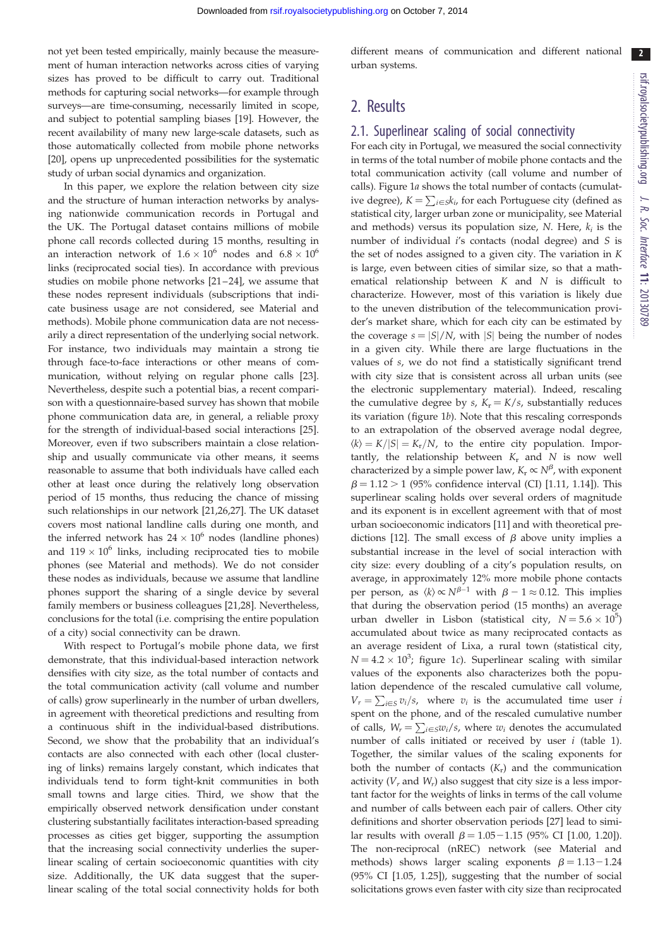$2<sup>2</sup>$ 

not yet been tested empirically, mainly because the measurement of human interaction networks across cities of varying sizes has proved to be difficult to carry out. Traditional methods for capturing social networks—for example through surveys—are time-consuming, necessarily limited in scope, and subject to potential sampling biases [[19\]](#page-9-0). However, the recent availability of many new large-scale datasets, such as those automatically collected from mobile phone networks [\[20](#page-9-0)], opens up unprecedented possibilities for the systematic study of urban social dynamics and organization.

In this paper, we explore the relation between city size and the structure of human interaction networks by analysing nationwide communication records in Portugal and the UK. The Portugal dataset contains millions of mobile phone call records collected during 15 months, resulting in an interaction network of  $1.6 \times 10^6$  nodes and  $6.8 \times 10^6$ links (reciprocated social ties). In accordance with previous studies on mobile phone networks [\[21](#page-9-0) –[24](#page-9-0)], we assume that these nodes represent individuals (subscriptions that indicate business usage are not considered, see Material and methods). Mobile phone communication data are not necessarily a direct representation of the underlying social network. For instance, two individuals may maintain a strong tie through face-to-face interactions or other means of communication, without relying on regular phone calls [\[23](#page-9-0)]. Nevertheless, despite such a potential bias, a recent comparison with a questionnaire-based survey has shown that mobile phone communication data are, in general, a reliable proxy for the strength of individual-based social interactions [\[25](#page-9-0)]. Moreover, even if two subscribers maintain a close relationship and usually communicate via other means, it seems reasonable to assume that both individuals have called each other at least once during the relatively long observation period of 15 months, thus reducing the chance of missing such relationships in our network [\[21,26,27\]](#page-9-0). The UK dataset covers most national landline calls during one month, and the inferred network has  $24 \times 10^6$  nodes (landline phones) and  $119 \times 10^6$  links, including reciprocated ties to mobile phones (see Material and methods). We do not consider these nodes as individuals, because we assume that landline phones support the sharing of a single device by several family members or business colleagues [[21,28\]](#page-9-0). Nevertheless, conclusions for the total (i.e. comprising the entire population of a city) social connectivity can be drawn.

With respect to Portugal's mobile phone data, we first demonstrate, that this individual-based interaction network densifies with city size, as the total number of contacts and the total communication activity (call volume and number of calls) grow superlinearly in the number of urban dwellers, in agreement with theoretical predictions and resulting from a continuous shift in the individual-based distributions. Second, we show that the probability that an individual's contacts are also connected with each other (local clustering of links) remains largely constant, which indicates that individuals tend to form tight-knit communities in both small towns and large cities. Third, we show that the empirically observed network densification under constant clustering substantially facilitates interaction-based spreading processes as cities get bigger, supporting the assumption that the increasing social connectivity underlies the superlinear scaling of certain socioeconomic quantities with city size. Additionally, the UK data suggest that the superlinear scaling of the total social connectivity holds for both

different means of communication and different national urban systems.

# 2. Results

#### 2.1. Superlinear scaling of social connectivity

For each city in Portugal, we measured the social connectivity in terms of the total number of mobile phone contacts and the total communication activity (call volume and number of calls). [Figure 1](#page-3-0)a shows the total number of contacts (cumulative degree),  $K = \sum_{i \in S} k_i$ , for each Portuguese city (defined as statistical city, larger urban zone or municipality, see Material and methods) versus its population size, N. Here,  $k_i$  is the number of individual i's contacts (nodal degree) and S is the set of nodes assigned to a given city. The variation in K is large, even between cities of similar size, so that a mathematical relationship between K and N is difficult to characterize. However, most of this variation is likely due to the uneven distribution of the telecommunication provider's market share, which for each city can be estimated by the coverage  $s = |S|/N$ , with |S| being the number of nodes in a given city. While there are large fluctuations in the values of s, we do not find a statistically significant trend with city size that is consistent across all urban units (see the electronic supplementary material). Indeed, rescaling the cumulative degree by s,  $K_r = K/s$ , substantially reduces its variation [\(figure 1](#page-3-0)b). Note that this rescaling corresponds to an extrapolation of the observed average nodal degree,  $\langle k \rangle = K/|S| = K_r/N$ , to the entire city population. Importantly, the relationship between  $K_r$  and N is now well characterized by a simple power law,  $K_r \propto N^{\beta}$ , with exponent  $\beta = 1.12 > 1$  (95% confidence interval (CI) [1.11, 1.14]). This superlinear scaling holds over several orders of magnitude and its exponent is in excellent agreement with that of most urban socioeconomic indicators [\[11](#page-9-0)] and with theoretical pre-dictions [[12](#page-9-0)]. The small excess of  $\beta$  above unity implies a substantial increase in the level of social interaction with city size: every doubling of a city's population results, on average, in approximately 12% more mobile phone contacts per person, as  $\langle k \rangle \propto N^{\beta-1}$  with  $\beta - 1 \approx 0.12$ . This implies that during the observation period (15 months) an average urban dweller in Lisbon (statistical city,  $N = 5.6 \times 10^5$ ) accumulated about twice as many reciprocated contacts as an average resident of Lixa, a rural town (statistical city,  $N = 4.2 \times 10^3$ ; [figure 1](#page-3-0)c). Superlinear scaling with similar values of the exponents also characterizes both the population dependence of the rescaled cumulative call volume,  $V_r = \sum_{i \in S} v_i/s$ , where  $v_i$  is the accumulated time user is spent on the phone, and of the rescaled cumulative number of calls,  $W_r = \sum_{i \in S} w_i / s$ , where  $w_i$  denotes the accumulated number of calls initiated or received by user  $i$  ([table 1\)](#page-4-0). Together, the similar values of the scaling exponents for both the number of contacts  $(K_r)$  and the communication activity  $(V_r$  and  $W_r$ ) also suggest that city size is a less important factor for the weights of links in terms of the call volume and number of calls between each pair of callers. Other city definitions and shorter observation periods [[27\]](#page-9-0) lead to similar results with overall  $\beta = 1.05 - 1.15$  (95% CI [1.00, 1.20]). The non-reciprocal (nREC) network (see Material and methods) shows larger scaling exponents  $\beta = 1.13 - 1.24$ (95% CI [1.05, 1.25]), suggesting that the number of social solicitations grows even faster with city size than reciprocated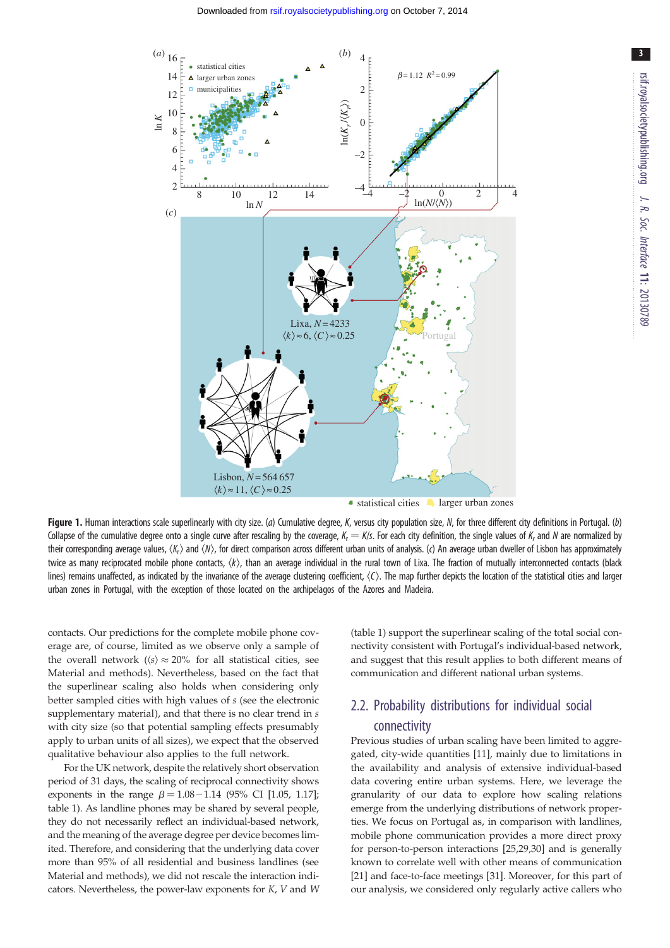<span id="page-3-0"></span>

rsif.royalsocietypublishing.org J. R. Soc. Interface 11: 20130789

3

Figure 1. Human interactions scale superlinearly with city size. (a) Cumulative degree, K, versus city population size, N, for three different city definitions in Portugal. (b) Collapse of the cumulative degree onto a single curve after rescaling by the coverage,  $K_r = K/s$ . For each city definition, the single values of K<sub>r</sub> and N are normalized by their corresponding average values,  $\langle K_r \rangle$  and  $\langle N \rangle$ , for direct comparison across different urban units of analysis. (c) An average urban dweller of Lisbon has approximately twice as many reciprocated mobile phone contacts,  $\langle k \rangle$ , than an average individual in the rural town of Lixa. The fraction of mutually interconnected contacts (black lines) remains unaffected, as indicated by the invariance of the average clustering coefficient,  $\langle C \rangle$ . The map further depicts the location of the statistical cities and larger urban zones in Portugal, with the exception of those located on the archipelagos of the Azores and Madeira.

contacts. Our predictions for the complete mobile phone coverage are, of course, limited as we observe only a sample of the overall network ( $\langle s \rangle \approx 20\%$  for all statistical cities, see Material and methods). Nevertheless, based on the fact that the superlinear scaling also holds when considering only better sampled cities with high values of s (see the electronic supplementary material), and that there is no clear trend in  $s$ with city size (so that potential sampling effects presumably apply to urban units of all sizes), we expect that the observed qualitative behaviour also applies to the full network.

For the UK network, despite the relatively short observation period of 31 days, the scaling of reciprocal connectivity shows exponents in the range  $\beta = 1.08 - 1.14$  (95% CI [1.05, 1.17]; [table 1](#page-4-0)). As landline phones may be shared by several people, they do not necessarily reflect an individual-based network, and the meaning of the average degree per device becomes limited. Therefore, and considering that the underlying data cover more than 95% of all residential and business landlines (see Material and methods), we did not rescale the interaction indicators. Nevertheless, the power-law exponents for K, V and W ([table 1](#page-4-0)) support the superlinear scaling of the total social connectivity consistent with Portugal's individual-based network, and suggest that this result applies to both different means of communication and different national urban systems.

## 2.2. Probability distributions for individual social connectivity

Previous studies of urban scaling have been limited to aggregated, city-wide quantities [[11\]](#page-9-0), mainly due to limitations in the availability and analysis of extensive individual-based data covering entire urban systems. Here, we leverage the granularity of our data to explore how scaling relations emerge from the underlying distributions of network properties. We focus on Portugal as, in comparison with landlines, mobile phone communication provides a more direct proxy for person-to-person interactions [[25,29,30](#page-9-0)] and is generally known to correlate well with other means of communication [[21\]](#page-9-0) and face-to-face meetings [\[31](#page-9-0)]. Moreover, for this part of our analysis, we considered only regularly active callers who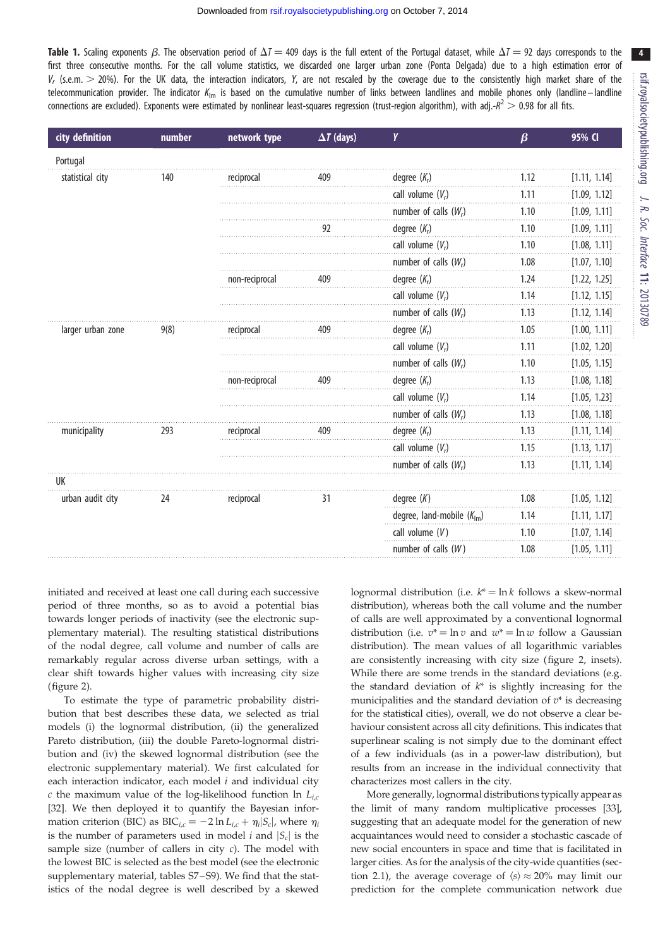<span id="page-4-0"></span>**Table 1.** Scaling exponents  $\beta$ . The observation period of  $\Delta T = 409$  days is the full extent of the Portugal dataset, while  $\Delta T = 92$  days corresponds to the first three consecutive months. For the call volume statistics, we discarded one larger urban zone (Ponta Delgada) due to a high estimation error of  $V_r$  (s.e.m.  $>$  20%). For the UK data, the interaction indicators, Y, are not rescaled by the coverage due to the consistently high market share of the telecommunication provider. The indicator  $K_{lm}$  is based on the cumulative number of links between landlines and mobile phones only (landline – landline connections are excluded). Exponents were estimated by nonlinear least-squares regression (trust-region algorithm), with adj.- $R^2 > 0.98$  for all fits.

| city definition   | number | network type   | $\Delta T$ (days) | Y                              | $\beta$ | 95% CI       |
|-------------------|--------|----------------|-------------------|--------------------------------|---------|--------------|
| Portugal          |        |                |                   |                                |         |              |
| statistical city  | 140    | reciprocal     | 409               | degree $(K_r)$                 | 1.12    | [1.11, 1.14] |
|                   |        |                |                   | call volume $(V_r)$            | 1.11    | [1.09, 1.12] |
|                   |        |                |                   | number of calls $(W_r)$        | 1.10    | [1.09, 1.11] |
|                   |        |                | 92                | degree $(K_r)$                 | 1.10    | [1.09, 1.11] |
|                   |        |                |                   | call volume $(V_r)$            | 1.10    | [1.08, 1.11] |
|                   |        |                |                   | number of calls $(W_r)$        | 1.08    | [1.07, 1.10] |
|                   |        | non-reciprocal | 409               | degree $(K_r)$                 | 1.24    | [1.22, 1.25] |
|                   |        |                |                   | call volume $(V_r)$            | 1.14    | [1.12, 1.15] |
|                   |        |                |                   | number of calls $(W_r)$        | 1.13    | [1.12, 1.14] |
| larger urban zone | 9(8)   | reciprocal     | 409               | degree $(K_r)$                 | 1.05    | [1.00, 1.11] |
|                   |        |                |                   | call volume $(V_r)$            | 1.11    | [1.02, 1.20] |
|                   |        |                |                   | number of calls $(W_r)$        | 1.10    | [1.05, 1.15] |
|                   |        | non-reciprocal | 409               | degree $(K_r)$                 | 1.13    | [1.08, 1.18] |
|                   |        |                |                   | call volume $(V_r)$            | 1.14    | [1.05, 1.23] |
|                   |        |                |                   | number of calls $(W_r)$        | 1.13    | [1.08, 1.18] |
| municipality      | 293    | reciprocal     | 409               | degree $(K_r)$                 | 1.13    | [1.11, 1.14] |
|                   |        |                |                   | call volume $(V_r)$            | 1.15    | [1.13, 1.17] |
|                   |        |                |                   | number of calls $(W_r)$        | 1.13    | [1.11, 1.14] |
| UK                |        |                |                   |                                |         |              |
| urban audit city  | 24     | reciprocal     | 31                | degree $(K)$                   | 1.08    | [1.05, 1.12] |
|                   |        |                |                   | degree, land-mobile $(K_{lm})$ | 1.14    | [1.11, 1.17] |
|                   |        |                |                   | call volume $(V)$              | 1.10    | [1.07, 1.14] |
|                   |        |                |                   | number of calls $(W)$          | 1.08    | [1.05, 1.11] |

initiated and received at least one call during each successive period of three months, so as to avoid a potential bias towards longer periods of inactivity (see the electronic supplementary material). The resulting statistical distributions of the nodal degree, call volume and number of calls are remarkably regular across diverse urban settings, with a clear shift towards higher values with increasing city size [\(figure 2\)](#page-5-0).

To estimate the type of parametric probability distribution that best describes these data, we selected as trial models (i) the lognormal distribution, (ii) the generalized Pareto distribution, (iii) the double Pareto-lognormal distribution and (iv) the skewed lognormal distribution (see the electronic supplementary material). We first calculated for each interaction indicator, each model  $i$  and individual city c the maximum value of the log-likelihood function ln  $L_{i,c}$ [\[32](#page-9-0)]. We then deployed it to quantify the Bayesian information criterion (BIC) as BIC<sub>i,c</sub> = -2 ln L<sub>i,c</sub> +  $\eta_i|S_c|$ , where  $\eta_i$ is the number of parameters used in model i and  $|S_c|$  is the sample size (number of callers in city  $c$ ). The model with the lowest BIC is selected as the best model (see the electronic supplementary material, tables S7-S9). We find that the statistics of the nodal degree is well described by a skewed lognormal distribution (i.e.  $k^* = \ln k$  follows a skew-normal distribution), whereas both the call volume and the number of calls are well approximated by a conventional lognormal distribution (i.e.  $v^* = \ln v$  and  $w^* = \ln w$  follow a Gaussian distribution). The mean values of all logarithmic variables are consistently increasing with city size [\(figure 2,](#page-5-0) insets). While there are some trends in the standard deviations (e.g. the standard deviation of  $k^*$  is slightly increasing for the municipalities and the standard deviation of  $v^*$  is decreasing for the statistical cities), overall, we do not observe a clear behaviour consistent across all city definitions. This indicates that superlinear scaling is not simply due to the dominant effect of a few individuals (as in a power-law distribution), but results from an increase in the individual connectivity that characterizes most callers in the city.

More generally, lognormal distributions typically appear as the limit of many random multiplicative processes [[33\]](#page-9-0), suggesting that an adequate model for the generation of new acquaintances would need to consider a stochastic cascade of new social encounters in space and time that is facilitated in larger cities. As for the analysis of the city-wide quantities (section 2.1), the average coverage of  $\langle s \rangle \approx 20\%$  may limit our prediction for the complete communication network due 4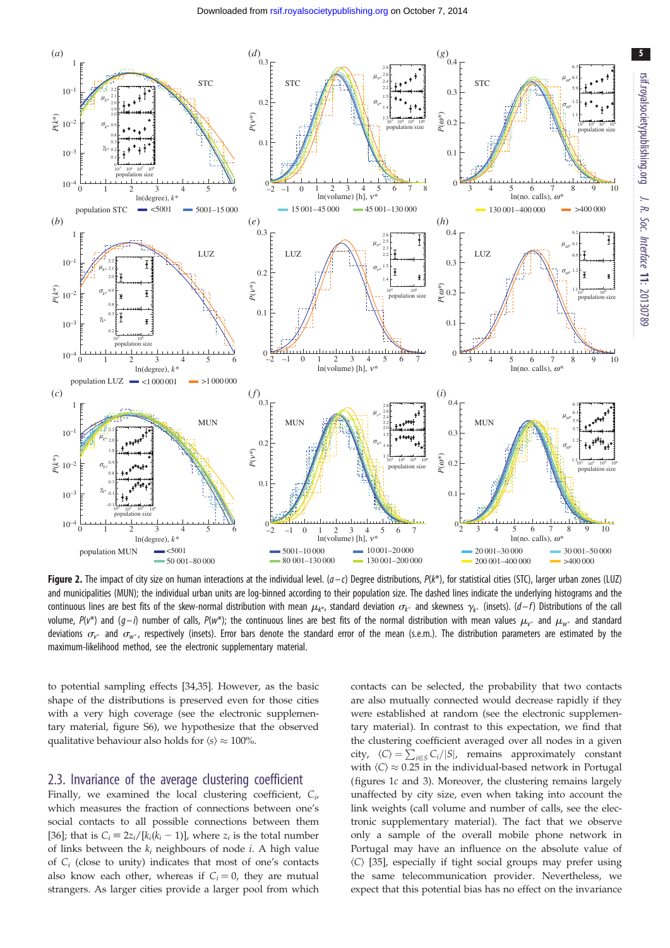<span id="page-5-0"></span>

**Figure 2.** The impact of city size on human interactions at the individual level.  $(a-c)$  Degree distributions,  $P(k^*)$ , for statistical cities (STC), larger urban zones (LUZ) and municipalities (MUN); the individual urban units are log-binned according to their population size. The dashed lines indicate the underlying histograms and the continuous lines are best fits of the skew-normal distribution with mean  $\mu_{k^*}$ , standard deviation  $\sigma_{k^*}$  and skewness  $\gamma_{k^*}$  (insets). (d–f) Distributions of the call volume,  $P(v^*)$  and  $(g-i)$  number of calls,  $P(w^*)$ ; the continuous lines are best fits of the normal distribution with mean values  $\mu_{v^*}$  and  $\mu_{w^*}$  and standard deviations  $\sigma_{v^*}$  and  $\sigma_{w^*}$ , respectively (insets). Error bars denote the standard error of the mean (s.e.m.). The distribution parameters are estimated by the maximum-likelihood method, see the electronic supplementary material.

to potential sampling effects [[34](#page-9-0),[35\]](#page-9-0). However, as the basic shape of the distributions is preserved even for those cities with a very high coverage (see the electronic supplementary material, figure S6), we hypothesize that the observed qualitative behaviour also holds for  $\langle s \rangle \approx 100\%$ .

#### 2.3. Invariance of the average clustering coefficient

Finally, we examined the local clustering coefficient,  $C_i$ , which measures the fraction of connections between one's social contacts to all possible connections between them [\[36](#page-9-0)]; that is  $C_i = 2z_i/[k_i(k_i - 1)]$ , where  $z_i$  is the total number of links between the  $k_i$  neighbours of node *i*. A high value of  $C_i$  (close to unity) indicates that most of one's contacts also know each other, whereas if  $C_i = 0$ , they are mutual strangers. As larger cities provide a larger pool from which contacts can be selected, the probability that two contacts are also mutually connected would decrease rapidly if they were established at random (see the electronic supplementary material). In contrast to this expectation, we find that the clustering coefficient averaged over all nodes in a given city,  $\langle C \rangle = \sum_{i \in S} C_i / |S|$ , remains approximately constant with  $\langle C \rangle \approx 0.25$  in the individual-based network in Portugal (figures [1](#page-3-0)c and [3\)](#page-6-0). Moreover, the clustering remains largely unaffected by city size, even when taking into account the link weights (call volume and number of calls, see the electronic supplementary material). The fact that we observe only a sample of the overall mobile phone network in Portugal may have an influence on the absolute value of  $\langle C \rangle$  [[35\]](#page-9-0), especially if tight social groups may prefer using the same telecommunication provider. Nevertheless, we expect that this potential bias has no effect on the invariance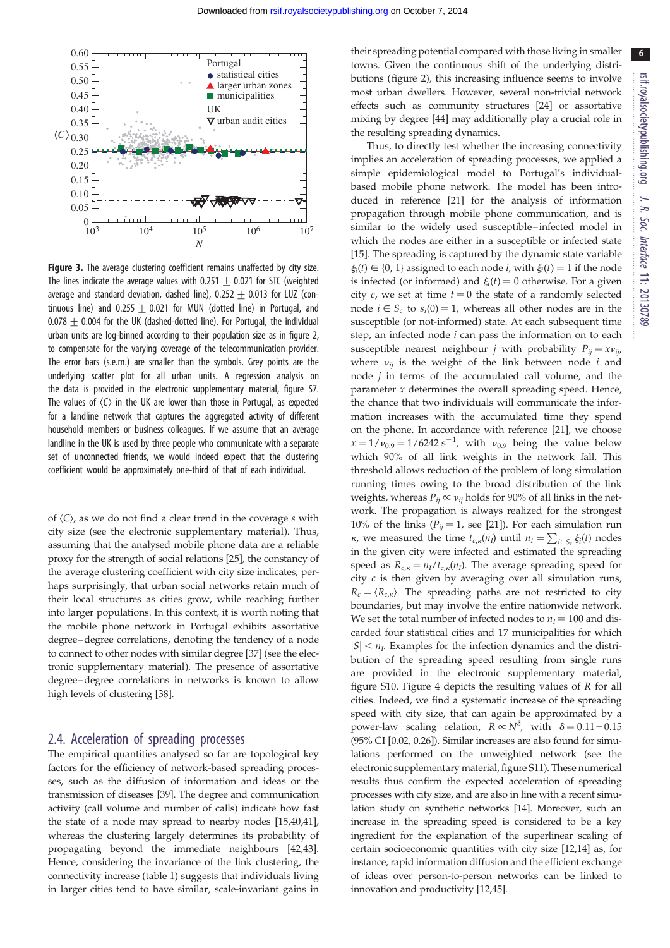6

<span id="page-6-0"></span>

**Figure 3.** The average clustering coefficient remains unaffected by city size. The lines indicate the average values with  $0.251 + 0.021$  for STC (weighted average and standard deviation, dashed line),  $0.252 + 0.013$  for LUZ (continuous line) and 0.255  $\pm$  0.021 for MUN (dotted line) in Portugal, and  $0.078 + 0.004$  for the UK (dashed-dotted line). For Portugal, the individual urban units are log-binned according to their population size as in [figure 2,](#page-5-0) to compensate for the varying coverage of the telecommunication provider. The error bars (s.e.m.) are smaller than the symbols. Grey points are the underlying scatter plot for all urban units. A regression analysis on the data is provided in the electronic supplementary material, figure S7. The values of  $\langle C \rangle$  in the UK are lower than those in Portugal, as expected for a landline network that captures the aggregated activity of different household members or business colleagues. If we assume that an average landline in the UK is used by three people who communicate with a separate set of unconnected friends, we would indeed expect that the clustering coefficient would be approximately one-third of that of each individual.

of  $\langle C \rangle$ , as we do not find a clear trend in the coverage s with city size (see the electronic supplementary material). Thus, assuming that the analysed mobile phone data are a reliable proxy for the strength of social relations [[25\]](#page-9-0), the constancy of the average clustering coefficient with city size indicates, perhaps surprisingly, that urban social networks retain much of their local structures as cities grow, while reaching further into larger populations. In this context, it is worth noting that the mobile phone network in Portugal exhibits assortative degree–degree correlations, denoting the tendency of a node to connect to other nodes with similar degree [\[37](#page-9-0)] (see the electronic supplementary material). The presence of assortative degree–degree correlations in networks is known to allow high levels of clustering [[38\]](#page-9-0).

#### 2.4. Acceleration of spreading processes

The empirical quantities analysed so far are topological key factors for the efficiency of network-based spreading processes, such as the diffusion of information and ideas or the transmission of diseases [\[39](#page-9-0)]. The degree and communication activity (call volume and number of calls) indicate how fast the state of a node may spread to nearby nodes [\[15,40,41](#page-9-0)], whereas the clustering largely determines its probability of propagating beyond the immediate neighbours [\[42,43](#page-9-0)]. Hence, considering the invariance of the link clustering, the connectivity increase [\(table 1](#page-4-0)) suggests that individuals living in larger cities tend to have similar, scale-invariant gains in

their spreading potential compared with those living in smaller towns. Given the continuous shift of the underlying distributions [\(figure 2\)](#page-5-0), this increasing influence seems to involve most urban dwellers. However, several non-trivial network effects such as community structures [\[24](#page-9-0)] or assortative mixing by degree [[44\]](#page-9-0) may additionally play a crucial role in the resulting spreading dynamics.

Thus, to directly test whether the increasing connectivity implies an acceleration of spreading processes, we applied a simple epidemiological model to Portugal's individualbased mobile phone network. The model has been introduced in reference [[21\]](#page-9-0) for the analysis of information propagation through mobile phone communication, and is similar to the widely used susceptible –infected model in which the nodes are either in a susceptible or infected state [[15\]](#page-9-0). The spreading is captured by the dynamic state variable  $\xi_i(t) \in \{0, 1\}$  assigned to each node *i*, with  $\xi_i(t) = 1$  if the node is infected (or informed) and  $\xi_i(t) = 0$  otherwise. For a given city  $c$ , we set at time  $t = 0$  the state of a randomly selected node  $i \in S_c$  to  $s_i(0) = 1$ , whereas all other nodes are in the susceptible (or not-informed) state. At each subsequent time step, an infected node  $i$  can pass the information on to each susceptible nearest neighbour *j* with probability  $P_{ii} = xv_{ii}$ , where  $v_{ij}$  is the weight of the link between node i and node  $j$  in terms of the accumulated call volume, and the parameter  $x$  determines the overall spreading speed. Hence, the chance that two individuals will communicate the information increases with the accumulated time they spend on the phone. In accordance with reference [\[21](#page-9-0)], we choose  $x = 1/v_{0.9} = 1/6242 \text{ s}^{-1}$ , with  $v_{0.9}$  being the value below which 90% of all link weights in the network fall. This threshold allows reduction of the problem of long simulation running times owing to the broad distribution of the link weights, whereas  $P_{ii} \propto v_{ii}$  holds for 90% of all links in the network. The propagation is always realized for the strongest 10% of the links ( $P_{ij} = 1$ , see [[21\]](#page-9-0)). For each simulation run  $\kappa$ , we measured the time  $t_{c,\kappa}(n_1)$  until  $n_1 = \sum_{i \in S_c} \xi_i(t)$  nodes in the given city were infected and estimated the spreading speed as  $R_{c,k} = n_I/t_{c,k}(n_I)$ . The average spreading speed for city  $c$  is then given by averaging over all simulation runs,  $R_c = \langle R_{c,k} \rangle$ . The spreading paths are not restricted to city boundaries, but may involve the entire nationwide network. We set the total number of infected nodes to  $n_I = 100$  and discarded four statistical cities and 17 municipalities for which  $|S| < n_I$ . Examples for the infection dynamics and the distribution of the spreading speed resulting from single runs are provided in the electronic supplementary material, figure S10. [Figure 4](#page-7-0) depicts the resulting values of R for all cities. Indeed, we find a systematic increase of the spreading speed with city size, that can again be approximated by a power-law scaling relation,  $R \propto N^{\delta}$ , with  $\delta = 0.11 - 0.15$ (95% CI [0.02, 0.26]). Similar increases are also found for simulations performed on the unweighted network (see the electronic supplementary material, figure S11). These numerical results thus confirm the expected acceleration of spreading processes with city size, and are also in line with a recent simulation study on synthetic networks [\[14](#page-9-0)]. Moreover, such an increase in the spreading speed is considered to be a key ingredient for the explanation of the superlinear scaling of certain socioeconomic quantities with city size [[12,14\]](#page-9-0) as, for instance, rapid information diffusion and the efficient exchange of ideas over person-to-person networks can be linked to innovation and productivity [\[12,45](#page-9-0)].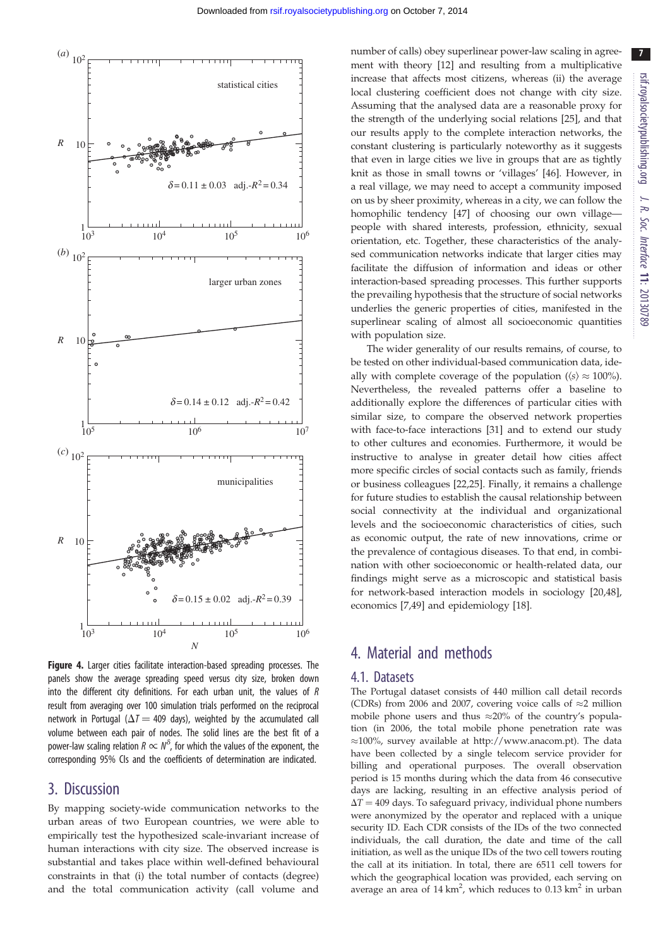<span id="page-7-0"></span>

Figure 4. Larger cities facilitate interaction-based spreading processes. The panels show the average spreading speed versus city size, broken down into the different city definitions. For each urban unit, the values of R result from averaging over 100 simulation trials performed on the reciprocal network in Portugal ( $\Delta T = 409$  days), weighted by the accumulated call volume between each pair of nodes. The solid lines are the best fit of a power-law scaling relation  $R \propto N^{\delta}$ , for which the values of the exponent, the corresponding 95% CIs and the coefficients of determination are indicated.

# 3. Discussion

By mapping society-wide communication networks to the urban areas of two European countries, we were able to empirically test the hypothesized scale-invariant increase of human interactions with city size. The observed increase is substantial and takes place within well-defined behavioural constraints in that (i) the total number of contacts (degree) and the total communication activity (call volume and number of calls) obey superlinear power-law scaling in agreement with theory [[12\]](#page-9-0) and resulting from a multiplicative increase that affects most citizens, whereas (ii) the average local clustering coefficient does not change with city size. Assuming that the analysed data are a reasonable proxy for the strength of the underlying social relations [[25\]](#page-9-0), and that our results apply to the complete interaction networks, the constant clustering is particularly noteworthy as it suggests that even in large cities we live in groups that are as tightly knit as those in small towns or 'villages' [\[46](#page-9-0)]. However, in a real village, we may need to accept a community imposed on us by sheer proximity, whereas in a city, we can follow the homophilic tendency [[47\]](#page-9-0) of choosing our own villagepeople with shared interests, profession, ethnicity, sexual orientation, etc. Together, these characteristics of the analysed communication networks indicate that larger cities may facilitate the diffusion of information and ideas or other interaction-based spreading processes. This further supports the prevailing hypothesis that the structure of social networks underlies the generic properties of cities, manifested in the superlinear scaling of almost all socioeconomic quantities with population size.

The wider generality of our results remains, of course, to be tested on other individual-based communication data, ideally with complete coverage of the population ( $\langle s \rangle \approx 100\%$ ). Nevertheless, the revealed patterns offer a baseline to additionally explore the differences of particular cities with similar size, to compare the observed network properties with face-to-face interactions [\[31](#page-9-0)] and to extend our study to other cultures and economies. Furthermore, it would be instructive to analyse in greater detail how cities affect more specific circles of social contacts such as family, friends or business colleagues [[22,25](#page-9-0)]. Finally, it remains a challenge for future studies to establish the causal relationship between social connectivity at the individual and organizational levels and the socioeconomic characteristics of cities, such as economic output, the rate of new innovations, crime or the prevalence of contagious diseases. To that end, in combination with other socioeconomic or health-related data, our findings might serve as a microscopic and statistical basis for network-based interaction models in sociology [\[20](#page-9-0),[48\]](#page-9-0), economics [[7](#page-8-0),[49\]](#page-9-0) and epidemiology [[18\]](#page-9-0).

# 4. Material and methods

#### 4.1. Datasets

The Portugal dataset consists of 440 million call detail records (CDRs) from 2006 and 2007, covering voice calls of  $\approx$ 2 million mobile phone users and thus  $\approx$ 20% of the country's population (in 2006, the total mobile phone penetration rate was  $\approx$ 100%, survey available at [http://www.anacom.pt\)](http://www.anacom.pt). The data have been collected by a single telecom service provider for billing and operational purposes. The overall observation period is 15 months during which the data from 46 consecutive days are lacking, resulting in an effective analysis period of  $\Delta T = 409$  days. To safeguard privacy, individual phone numbers were anonymized by the operator and replaced with a unique security ID. Each CDR consists of the IDs of the two connected individuals, the call duration, the date and time of the call initiation, as well as the unique IDs of the two cell towers routing the call at its initiation. In total, there are 6511 cell towers for which the geographical location was provided, each serving on average an area of  $14 \text{ km}^2$ , which reduces to  $0.13 \text{ km}^2$  in urban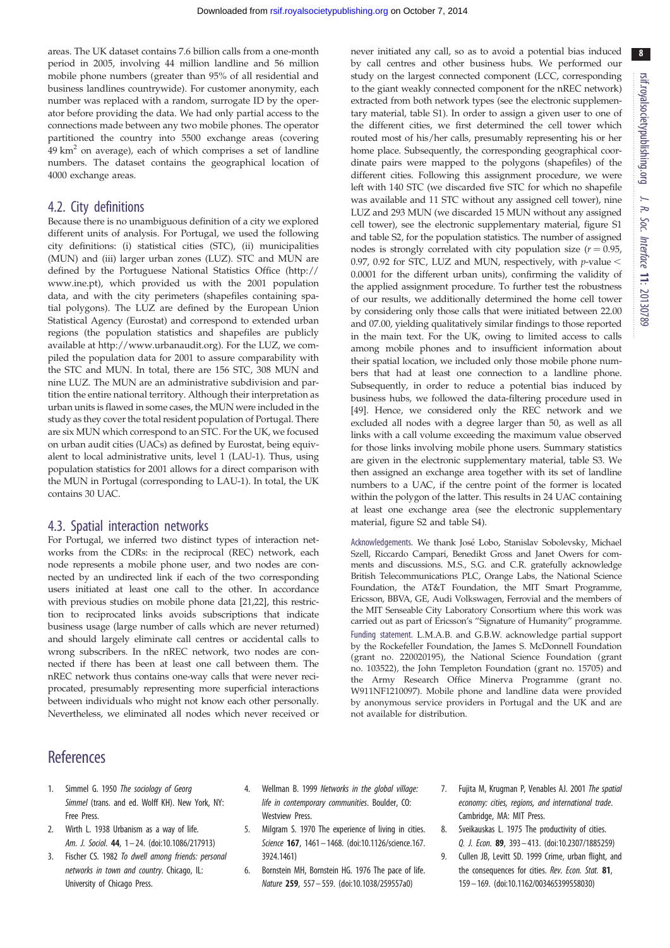<span id="page-8-0"></span>areas. The UK dataset contains 7.6 billion calls from a one-month period in 2005, involving 44 million landline and 56 million mobile phone numbers (greater than 95% of all residential and business landlines countrywide). For customer anonymity, each number was replaced with a random, surrogate ID by the operator before providing the data. We had only partial access to the connections made between any two mobile phones. The operator partitioned the country into 5500 exchange areas (covering  $49 \text{ km}^2$  on average), each of which comprises a set of landline numbers. The dataset contains the geographical location of 4000 exchange areas.

#### 4.2. City definitions

Because there is no unambiguous definition of a city we explored different units of analysis. For Portugal, we used the following city definitions: (i) statistical cities (STC), (ii) municipalities (MUN) and (iii) larger urban zones (LUZ). STC and MUN are defined by the Portuguese National Statistics Office ([http://](http://www.ine.pt) [www.ine.pt\)](http://www.ine.pt), which provided us with the 2001 population data, and with the city perimeters (shapefiles containing spatial polygons). The LUZ are defined by the European Union Statistical Agency (Eurostat) and correspond to extended urban regions (the population statistics and shapefiles are publicly available at [http://www.urbanaudit.org\)](http://www.urbanaudit.org). For the LUZ, we compiled the population data for 2001 to assure comparability with the STC and MUN. In total, there are 156 STC, 308 MUN and nine LUZ. The MUN are an administrative subdivision and partition the entire national territory. Although their interpretation as urban units is flawed in some cases, the MUN were included in the study as they cover the total resident population of Portugal. There are six MUN which correspond to an STC. For the UK, we focused on urban audit cities (UACs) as defined by Eurostat, being equivalent to local administrative units, level 1 (LAU-1). Thus, using population statistics for 2001 allows for a direct comparison with the MUN in Portugal (corresponding to LAU-1). In total, the UK contains 30 UAC.

#### 4.3. Spatial interaction networks

For Portugal, we inferred two distinct types of interaction networks from the CDRs: in the reciprocal (REC) network, each node represents a mobile phone user, and two nodes are connected by an undirected link if each of the two corresponding users initiated at least one call to the other. In accordance with previous studies on mobile phone data [[21,22](#page-9-0)], this restriction to reciprocated links avoids subscriptions that indicate business usage (large number of calls which are never returned) and should largely eliminate call centres or accidental calls to wrong subscribers. In the nREC network, two nodes are connected if there has been at least one call between them. The nREC network thus contains one-way calls that were never reciprocated, presumably representing more superficial interactions between individuals who might not know each other personally. Nevertheless, we eliminated all nodes which never received or never initiated any call, so as to avoid a potential bias induced by call centres and other business hubs. We performed our study on the largest connected component (LCC, corresponding to the giant weakly connected component for the nREC network) extracted from both network types (see the electronic supplementary material, table S1). In order to assign a given user to one of the different cities, we first determined the cell tower which routed most of his/her calls, presumably representing his or her home place. Subsequently, the corresponding geographical coordinate pairs were mapped to the polygons (shapefiles) of the different cities. Following this assignment procedure, we were left with 140 STC (we discarded five STC for which no shapefile was available and 11 STC without any assigned cell tower), nine LUZ and 293 MUN (we discarded 15 MUN without any assigned cell tower), see the electronic supplementary material, figure S1 and table S2, for the population statistics. The number of assigned nodes is strongly correlated with city population size  $(r = 0.95,$ 0.97, 0.92 for STC, LUZ and MUN, respectively, with  $p$ -value  $\leq$ 0.0001 for the different urban units), confirming the validity of the applied assignment procedure. To further test the robustness of our results, we additionally determined the home cell tower by considering only those calls that were initiated between 22.00 and 07.00, yielding qualitatively similar findings to those reported in the main text. For the UK, owing to limited access to calls among mobile phones and to insufficient information about their spatial location, we included only those mobile phone numbers that had at least one connection to a landline phone. Subsequently, in order to reduce a potential bias induced by business hubs, we followed the data-filtering procedure used in [\[49\]](#page-9-0). Hence, we considered only the REC network and we excluded all nodes with a degree larger than 50, as well as all links with a call volume exceeding the maximum value observed for those links involving mobile phone users. Summary statistics are given in the electronic supplementary material, table S3. We then assigned an exchange area together with its set of landline numbers to a UAC, if the centre point of the former is located within the polygon of the latter. This results in 24 UAC containing at least one exchange area (see the electronic supplementary material, figure S2 and table S4).

Acknowledgements. We thank José Lobo, Stanislav Sobolevsky, Michael Szell, Riccardo Campari, Benedikt Gross and Janet Owers for comments and discussions. M.S., S.G. and C.R. gratefully acknowledge British Telecommunications PLC, Orange Labs, the National Science Foundation, the AT&T Foundation, the MIT Smart Programme, Ericsson, BBVA, GE, Audi Volkswagen, Ferrovial and the members of the MIT Senseable City Laboratory Consortium where this work was carried out as part of Ericsson's "Signature of Humanity" programme. Funding statement. L.M.A.B. and G.B.W. acknowledge partial support by the Rockefeller Foundation, the James S. McDonnell Foundation (grant no. 220020195), the National Science Foundation (grant no. 103522), the John Templeton Foundation (grant no. 15705) and the Army Research Office Minerva Programme (grant no. W911NF1210097). Mobile phone and landline data were provided by anonymous service providers in Portugal and the UK and are not available for distribution.

# **References**

- 1. Simmel G. 1950 The sociology of Georg Simmel (trans. and ed. Wolff KH). New York, NY: Free Press.
- 2. Wirth L. 1938 Urbanism as a way of life. Am. J. Sociol. 44, 1-24. [\(doi:10.1086/217913](http://dx.doi.org/10.1086/217913))
- 3. Fischer CS. 1982 To dwell among friends: personal networks in town and country. Chicago, IL: University of Chicago Press.
- Wellman B. 1999 Networks in the global village: life in contemporary communities. Boulder, CO: Westview Press.
- 5. Milgram S. 1970 The experience of living in cities. Science 167, 1461– 1468. ([doi:10.1126/science.167.](http://dx.doi.org/10.1126/science.167.3924.1461) [3924.1461\)](http://dx.doi.org/10.1126/science.167.3924.1461)
- 6. Bornstein MH, Bornstein HG. 1976 The pace of life. Nature 259, 557– 559. [\(doi:10.1038/259557a0\)](http://dx.doi.org/10.1038/259557a0)
- 7. Fujita M, Krugman P, Venables AJ. 2001 The spatial economy: cities, regions, and international trade. Cambridge, MA: MIT Press.
- 8. Sveikauskas L. 1975 The productivity of cities. Q. J. Econ. 89, 393– 413. ([doi:10.2307/1885259](http://dx.doi.org/10.2307/1885259))
- 9. Cullen JB, Levitt SD. 1999 Crime, urban flight, and the consequences for cities. Rev. Econ. Stat. 81, 159– 169. [\(doi:10.1162/003465399558030](http://dx.doi.org/10.1162/003465399558030))

8